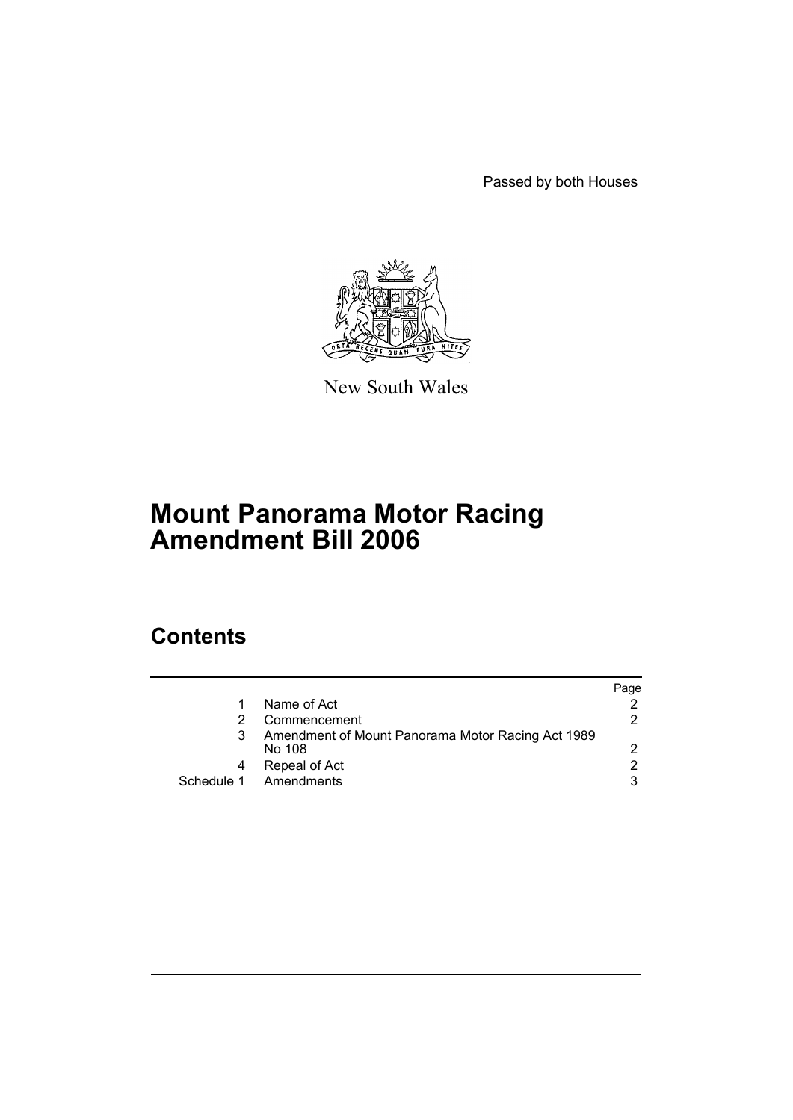Passed by both Houses



New South Wales

# **Mount Panorama Motor Racing Amendment Bill 2006**

# **Contents**

|   |                                                             | Paqe |
|---|-------------------------------------------------------------|------|
|   | Name of Act                                                 |      |
|   | Commencement                                                | 2    |
| 3 | Amendment of Mount Panorama Motor Racing Act 1989<br>No 108 | 2    |
| 4 | Repeal of Act                                               | 2    |
|   | Schedule 1 Amendments                                       | 3    |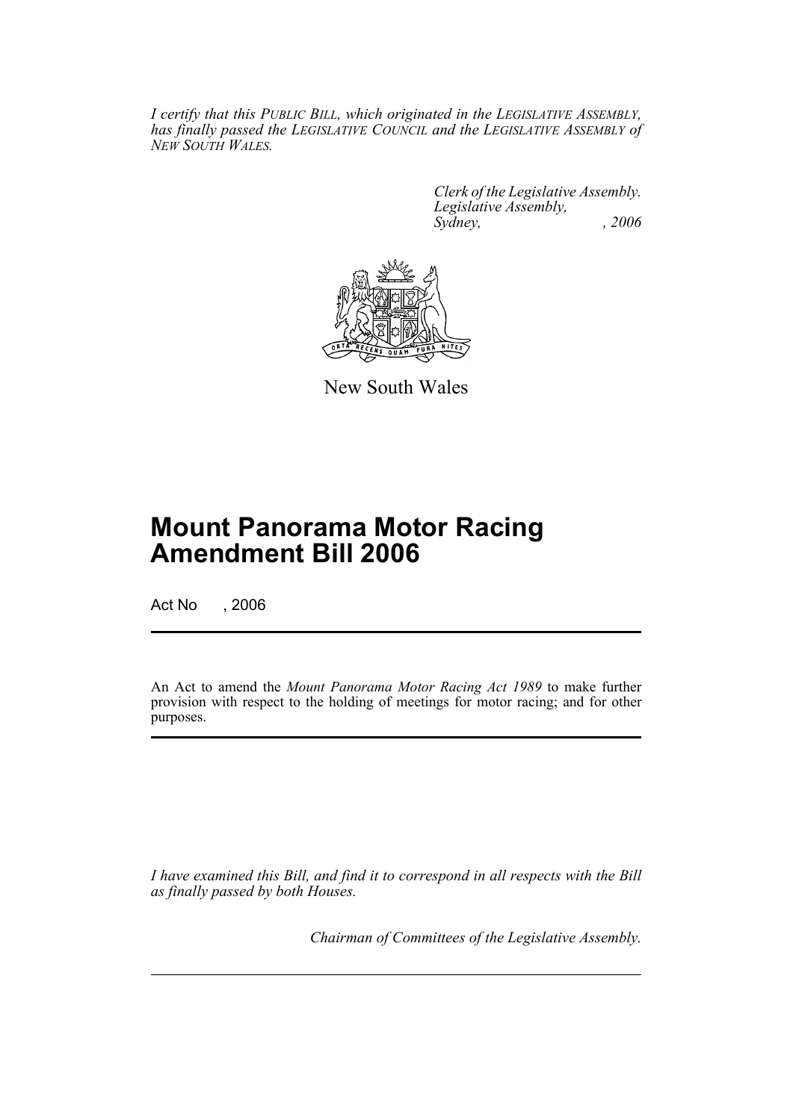*I certify that this PUBLIC BILL, which originated in the LEGISLATIVE ASSEMBLY, has finally passed the LEGISLATIVE COUNCIL and the LEGISLATIVE ASSEMBLY of NEW SOUTH WALES.*

> *Clerk of the Legislative Assembly. Legislative Assembly, Sydney, , 2006*



New South Wales

# **Mount Panorama Motor Racing Amendment Bill 2006**

Act No , 2006

An Act to amend the *Mount Panorama Motor Racing Act 1989* to make further provision with respect to the holding of meetings for motor racing; and for other purposes.

*I have examined this Bill, and find it to correspond in all respects with the Bill as finally passed by both Houses.*

*Chairman of Committees of the Legislative Assembly.*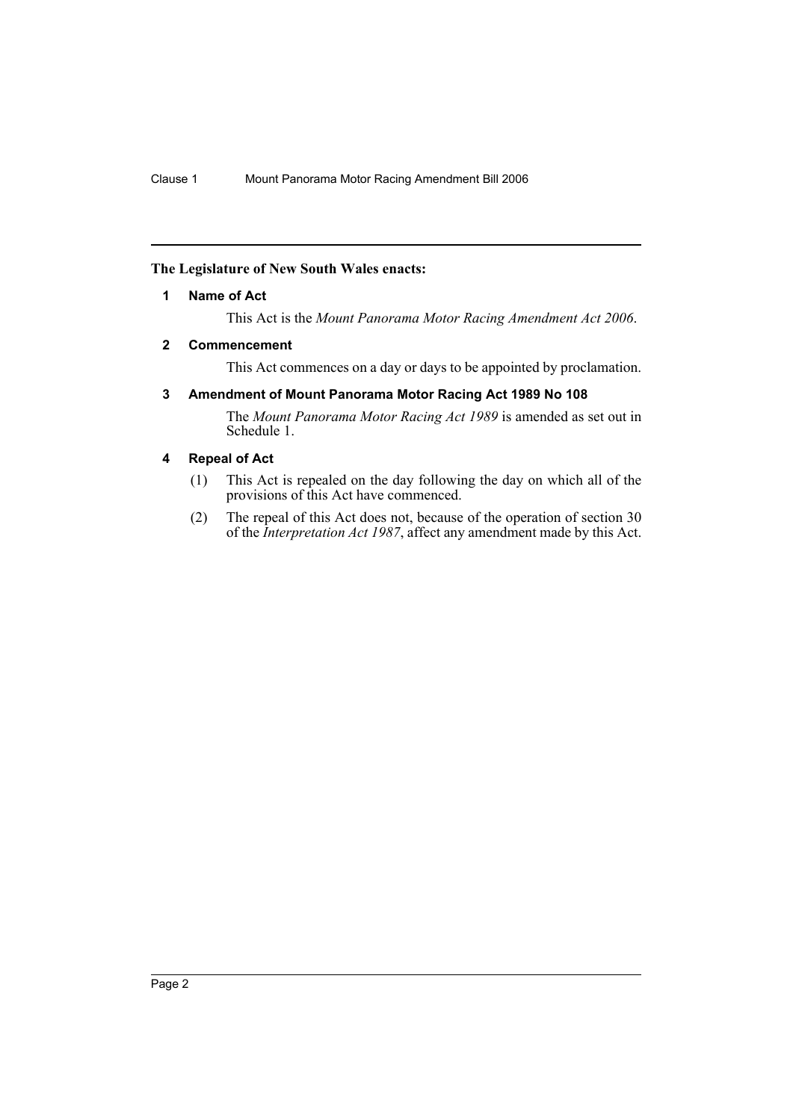# <span id="page-2-0"></span>**The Legislature of New South Wales enacts:**

### **1 Name of Act**

This Act is the *Mount Panorama Motor Racing Amendment Act 2006*.

#### <span id="page-2-1"></span>**2 Commencement**

This Act commences on a day or days to be appointed by proclamation.

# <span id="page-2-2"></span>**3 Amendment of Mount Panorama Motor Racing Act 1989 No 108**

The *Mount Panorama Motor Racing Act 1989* is amended as set out in Schedule 1.

# <span id="page-2-3"></span>**4 Repeal of Act**

- (1) This Act is repealed on the day following the day on which all of the provisions of this Act have commenced.
- (2) The repeal of this Act does not, because of the operation of section 30 of the *Interpretation Act 1987*, affect any amendment made by this Act.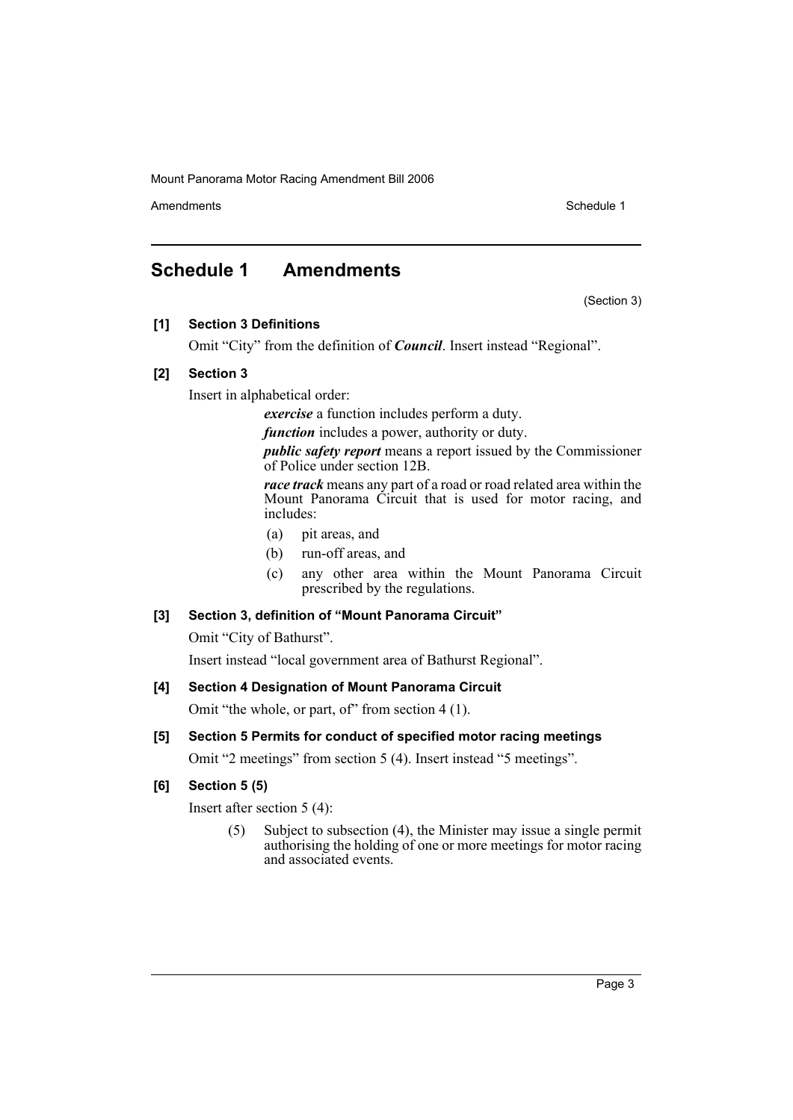Amendments **Schedule 1** and the set of the set of the set of the set of the set of the set of the set of the set of the set of the set of the set of the set of the set of the set of the set of the set of the set of the set

(Section 3)

# <span id="page-3-0"></span>**Schedule 1 Amendments**

**[1] Section 3 Definitions**

Omit "City" from the definition of *Council*. Insert instead "Regional".

# **[2] Section 3**

Insert in alphabetical order:

*exercise* a function includes perform a duty.

*function* includes a power, authority or duty.

*public safety report* means a report issued by the Commissioner of Police under section 12B.

*race track* means any part of a road or road related area within the Mount Panorama Circuit that is used for motor racing, and includes:

- (a) pit areas, and
- (b) run-off areas, and
- (c) any other area within the Mount Panorama Circuit prescribed by the regulations.

# **[3] Section 3, definition of "Mount Panorama Circuit"**

Omit "City of Bathurst".

Insert instead "local government area of Bathurst Regional".

# **[4] Section 4 Designation of Mount Panorama Circuit**

Omit "the whole, or part, of" from section 4 (1).

# **[5] Section 5 Permits for conduct of specified motor racing meetings**

Omit "2 meetings" from section 5 (4). Insert instead "5 meetings".

# **[6] Section 5 (5)**

Insert after section 5 (4):

(5) Subject to subsection (4), the Minister may issue a single permit authorising the holding of one or more meetings for motor racing and associated events.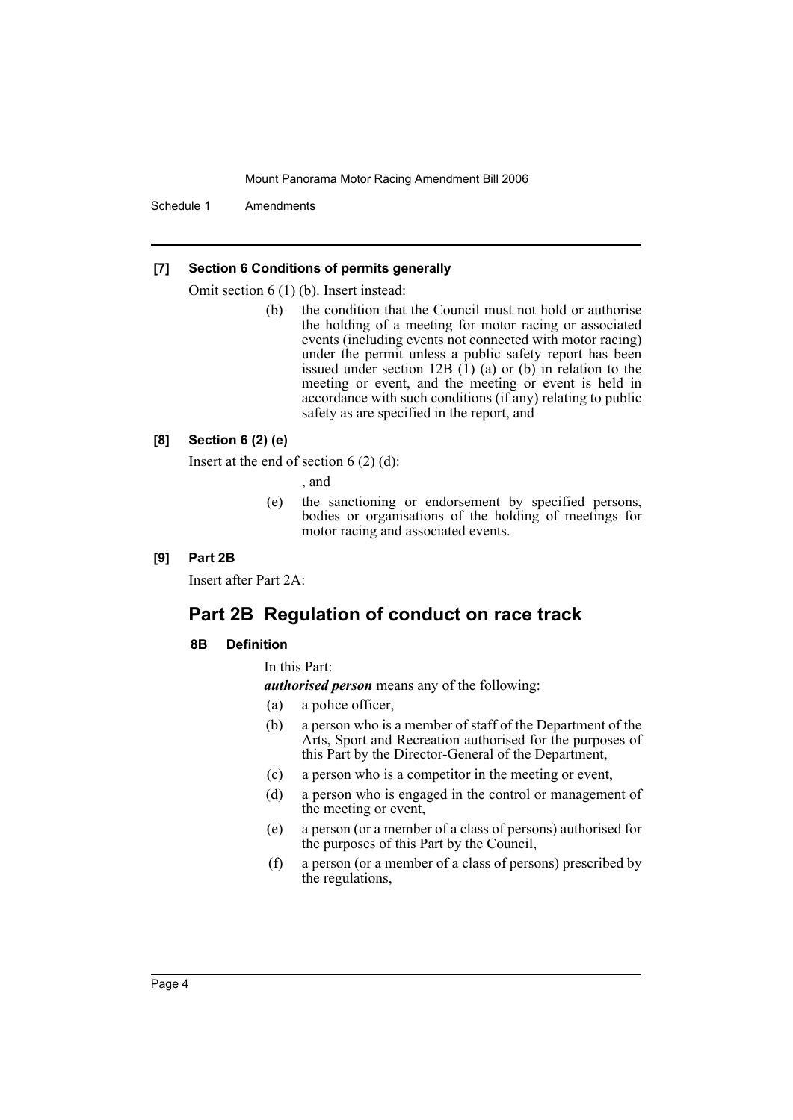Schedule 1 Amendments

#### **[7] Section 6 Conditions of permits generally**

Omit section 6 (1) (b). Insert instead:

(b) the condition that the Council must not hold or authorise the holding of a meeting for motor racing or associated events (including events not connected with motor racing) under the permit unless a public safety report has been issued under section 12B  $(1)$  (a) or (b) in relation to the meeting or event, and the meeting or event is held in accordance with such conditions (if any) relating to public safety as are specified in the report, and

#### **[8] Section 6 (2) (e)**

Insert at the end of section  $6(2)(d)$ :

, and

(e) the sanctioning or endorsement by specified persons, bodies or organisations of the holding of meetings for motor racing and associated events.

### **[9] Part 2B**

Insert after Part 2A:

# **Part 2B Regulation of conduct on race track**

#### **8B Definition**

In this Part:

*authorised person* means any of the following:

- (a) a police officer,
- (b) a person who is a member of staff of the Department of the Arts, Sport and Recreation authorised for the purposes of this Part by the Director-General of the Department,
- (c) a person who is a competitor in the meeting or event,
- (d) a person who is engaged in the control or management of the meeting or event,
- (e) a person (or a member of a class of persons) authorised for the purposes of this Part by the Council,
- (f) a person (or a member of a class of persons) prescribed by the regulations,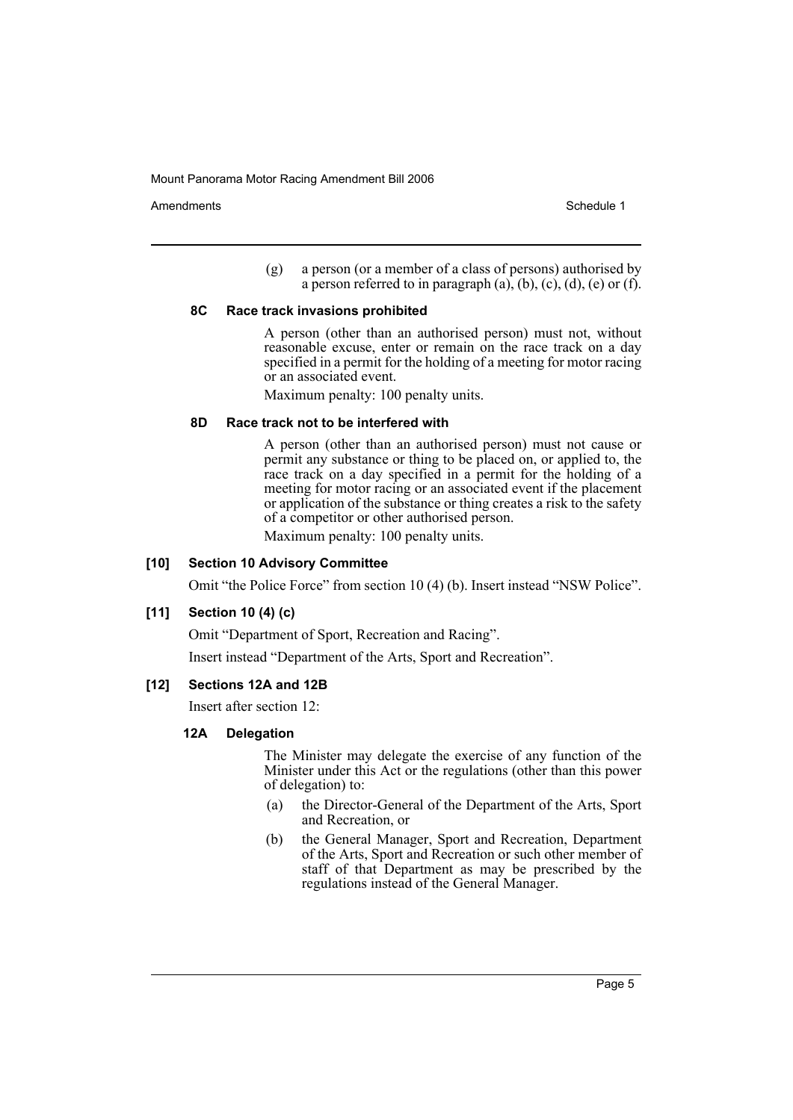Amendments **Amendments** Schedule 1

(g) a person (or a member of a class of persons) authorised by a person referred to in paragraph  $(a)$ ,  $(b)$ ,  $(c)$ ,  $(d)$ ,  $(e)$  or  $(f)$ .

#### **8C Race track invasions prohibited**

A person (other than an authorised person) must not, without reasonable excuse, enter or remain on the race track on a day specified in a permit for the holding of a meeting for motor racing or an associated event.

Maximum penalty: 100 penalty units.

#### **8D Race track not to be interfered with**

A person (other than an authorised person) must not cause or permit any substance or thing to be placed on, or applied to, the race track on a day specified in a permit for the holding of a meeting for motor racing or an associated event if the placement or application of the substance or thing creates a risk to the safety of a competitor or other authorised person.

Maximum penalty: 100 penalty units.

#### **[10] Section 10 Advisory Committee**

Omit "the Police Force" from section 10 (4) (b). Insert instead "NSW Police".

#### **[11] Section 10 (4) (c)**

Omit "Department of Sport, Recreation and Racing".

Insert instead "Department of the Arts, Sport and Recreation".

#### **[12] Sections 12A and 12B**

Insert after section 12:

#### **12A Delegation**

The Minister may delegate the exercise of any function of the Minister under this Act or the regulations (other than this power of delegation) to:

- (a) the Director-General of the Department of the Arts, Sport and Recreation, or
- (b) the General Manager, Sport and Recreation, Department of the Arts, Sport and Recreation or such other member of staff of that Department as may be prescribed by the regulations instead of the General Manager.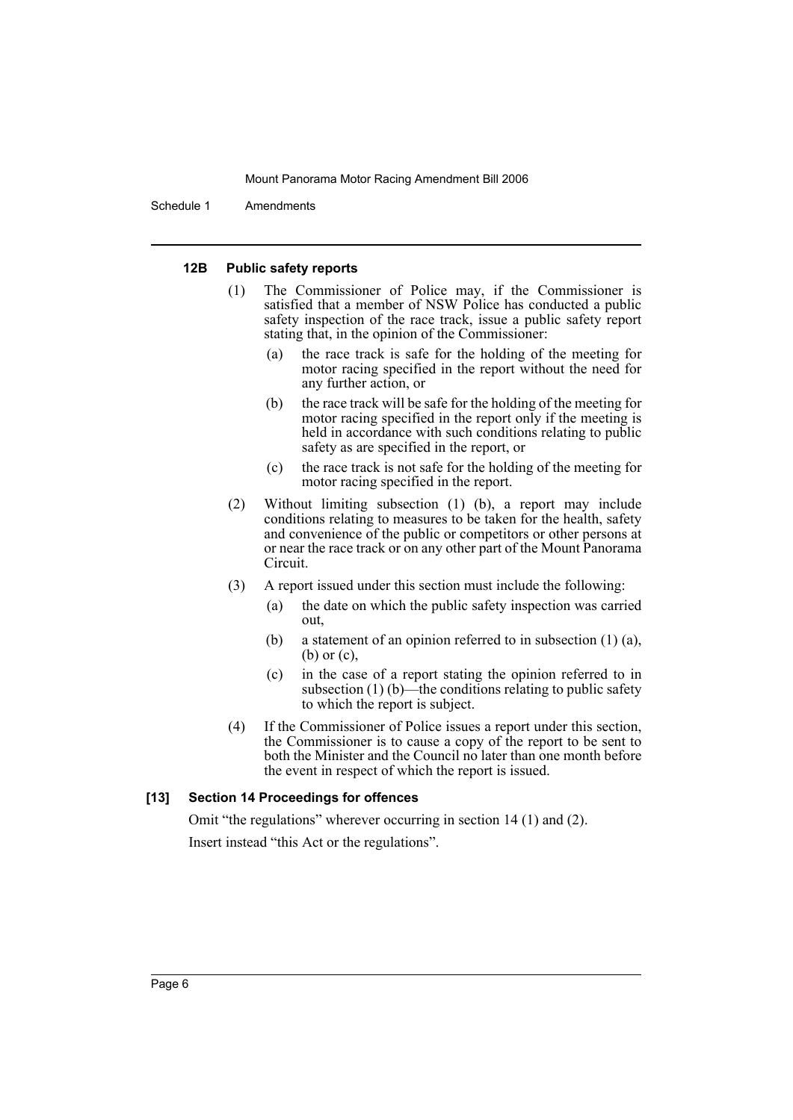Schedule 1 Amendments

#### **12B Public safety reports**

- (1) The Commissioner of Police may, if the Commissioner is satisfied that a member of NSW Police has conducted a public safety inspection of the race track, issue a public safety report stating that, in the opinion of the Commissioner:
	- (a) the race track is safe for the holding of the meeting for motor racing specified in the report without the need for any further action, or
	- (b) the race track will be safe for the holding of the meeting for motor racing specified in the report only if the meeting is held in accordance with such conditions relating to public safety as are specified in the report, or
	- (c) the race track is not safe for the holding of the meeting for motor racing specified in the report.
- (2) Without limiting subsection (1) (b), a report may include conditions relating to measures to be taken for the health, safety and convenience of the public or competitors or other persons at or near the race track or on any other part of the Mount Panorama Circuit.
- (3) A report issued under this section must include the following:
	- (a) the date on which the public safety inspection was carried out,
	- (b) a statement of an opinion referred to in subsection (1) (a), (b) or (c),
	- (c) in the case of a report stating the opinion referred to in subsection  $(1)$  (b)—the conditions relating to public safety to which the report is subject.
- (4) If the Commissioner of Police issues a report under this section, the Commissioner is to cause a copy of the report to be sent to both the Minister and the Council no later than one month before the event in respect of which the report is issued.

#### **[13] Section 14 Proceedings for offences**

Omit "the regulations" wherever occurring in section 14 (1) and (2). Insert instead "this Act or the regulations".